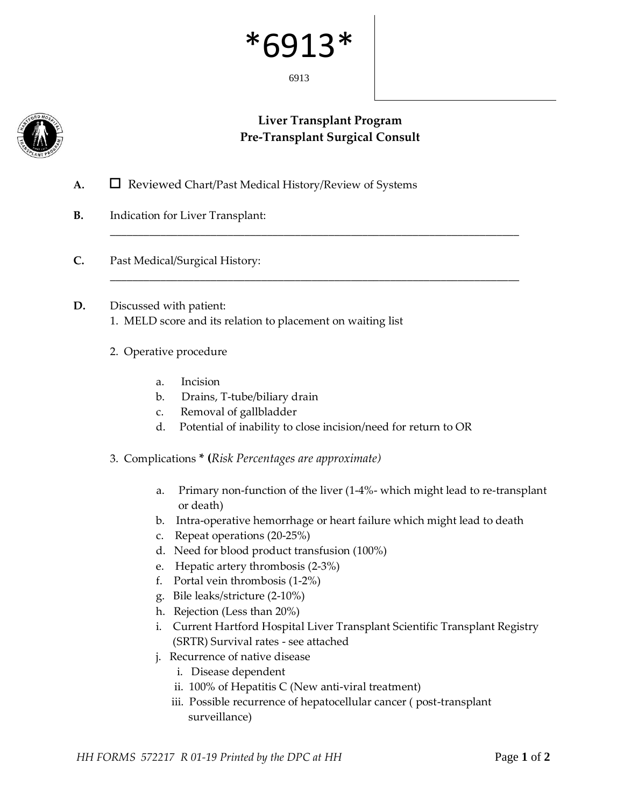## \*691

6913



## **Liver Transplant Program Pre-Transplant Surgical Consult**

\_\_\_\_\_\_\_\_\_\_\_\_\_\_\_\_\_\_\_\_\_\_\_\_\_\_\_\_\_\_\_\_\_\_\_\_\_\_\_\_\_\_\_\_\_\_\_\_\_\_\_\_\_\_\_\_\_\_\_\_\_\_\_\_\_\_\_\_\_\_\_\_\_

\_\_\_\_\_\_\_\_\_\_\_\_\_\_\_\_\_\_\_\_\_\_\_\_\_\_\_\_\_\_\_\_\_\_\_\_\_\_\_\_\_\_\_\_\_\_\_\_\_\_\_\_\_\_\_\_\_\_\_\_\_\_\_\_\_\_\_\_\_\_\_\_\_

- A. □ Reviewed Chart/Past Medical History/Review of Systems
- **B.** Indication for Liver Transplant:
- **C.** Past Medical/Surgical History:
- **D.** Discussed with patient: 1. MELD score and its relation to placement on waiting list
	-
	- 2. Operative procedure
		- a. Incision
		- b. Drains, T-tube/biliary drain
		- c. Removal of gallbladder
		- d. Potential of inability to close incision/need for return to OR
	- 3. Complications **\* (***Risk Percentages are approximate)*
		- a. Primary non-function of the liver (1-4%- which might lead to re-transplant or death)
		- b. Intra-operative hemorrhage or heart failure which might lead to death
		- c. Repeat operations (20-25%)
		- d. Need for blood product transfusion (100%)
		- e. Hepatic artery thrombosis (2-3%)
		- f. Portal vein thrombosis (1-2%)
		- g. Bile leaks/stricture (2-10%)
		- h. Rejection (Less than 20%)
		- i. Current Hartford Hospital Liver Transplant Scientific Transplant Registry (SRTR) Survival rates - see attached
		- j. Recurrence of native disease
			- i. Disease dependent
			- ii. 100% of Hepatitis C (New anti-viral treatment)
			- iii. Possible recurrence of hepatocellular cancer ( post-transplant surveillance)